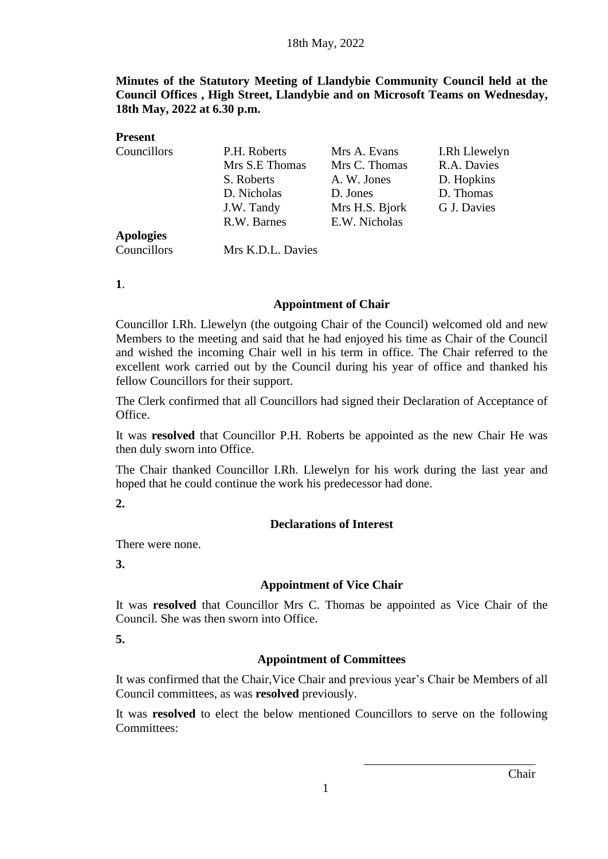**Minutes of the Statutory Meeting of Llandybie Community Council held at the Council Offices , High Street, Llandybie and on Microsoft Teams on Wednesday, 18th May, 2022 at 6.30 p.m.**

| <b>Present</b>   |                   |                |               |
|------------------|-------------------|----------------|---------------|
| Councillors      | P.H. Roberts      | Mrs A. Evans   | I.Rh Llewelyn |
|                  | Mrs S.E Thomas    | Mrs C. Thomas  | R.A. Davies   |
|                  | S. Roberts        | A. W. Jones    | D. Hopkins    |
|                  | D. Nicholas       | D. Jones       | D. Thomas     |
|                  | J.W. Tandy        | Mrs H.S. Bjork | G J. Davies   |
|                  | R.W. Barnes       | E.W. Nicholas  |               |
| <b>Apologies</b> |                   |                |               |
| Councillors      | Mrs K.D.L. Davies |                |               |

**1**.

#### **Appointment of Chair**

Councillor I.Rh. Llewelyn (the outgoing Chair of the Council) welcomed old and new Members to the meeting and said that he had enjoyed his time as Chair of the Council and wished the incoming Chair well in his term in office. The Chair referred to the excellent work carried out by the Council during his year of office and thanked his fellow Councillors for their support.

The Clerk confirmed that all Councillors had signed their Declaration of Acceptance of Office.

It was **resolved** that Councillor P.H. Roberts be appointed as the new Chair He was then duly sworn into Office.

The Chair thanked Councillor I.Rh. Llewelyn for his work during the last year and hoped that he could continue the work his predecessor had done.

### **2.**

### **Declarations of Interest**

There were none.

**3.**

### **Appointment of Vice Chair**

It was **resolved** that Councillor Mrs C. Thomas be appointed as Vice Chair of the Council. She was then sworn into Office.

**5.**

### **Appointment of Committees**

It was confirmed that the Chair,Vice Chair and previous year's Chair be Members of all Council committees, as was **resolved** previously.

It was **resolved** to elect the below mentioned Councillors to serve on the following Committees: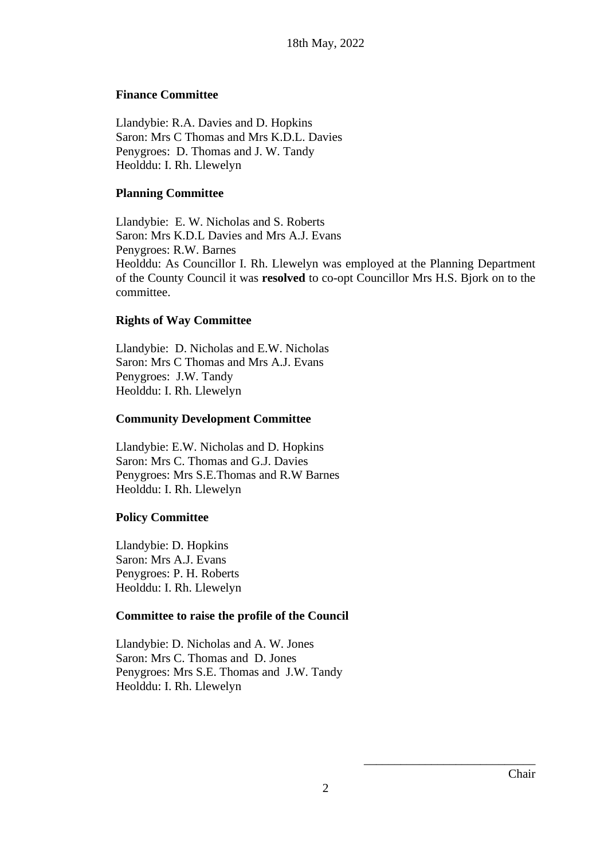### **Finance Committee**

Llandybie: R.A. Davies and D. Hopkins Saron: Mrs C Thomas and Mrs K.D.L. Davies Penygroes: D. Thomas and J. W. Tandy Heolddu: I. Rh. Llewelyn

#### **Planning Committee**

Llandybie: E. W. Nicholas and S. Roberts Saron: Mrs K.D.L Davies and Mrs A.J. Evans Penygroes: R.W. Barnes Heolddu: As Councillor I. Rh. Llewelyn was employed at the Planning Department of the County Council it was **resolved** to co-opt Councillor Mrs H.S. Bjork on to the committee.

### **Rights of Way Committee**

Llandybie: D. Nicholas and E.W. Nicholas Saron: Mrs C Thomas and Mrs A.J. Evans Penygroes: J.W. Tandy Heolddu: I. Rh. Llewelyn

### **Community Development Committee**

Llandybie: E.W. Nicholas and D. Hopkins Saron: Mrs C. Thomas and G.J. Davies Penygroes: Mrs S.E.Thomas and R.W Barnes Heolddu: I. Rh. Llewelyn

### **Policy Committee**

Llandybie: D. Hopkins Saron: Mrs A.J. Evans Penygroes: P. H. Roberts Heolddu: I. Rh. Llewelyn

### **Committee to raise the profile of the Council**

Llandybie: D. Nicholas and A. W. Jones Saron: Mrs C. Thomas and D. Jones Penygroes: Mrs S.E. Thomas and J.W. Tandy Heolddu: I. Rh. Llewelyn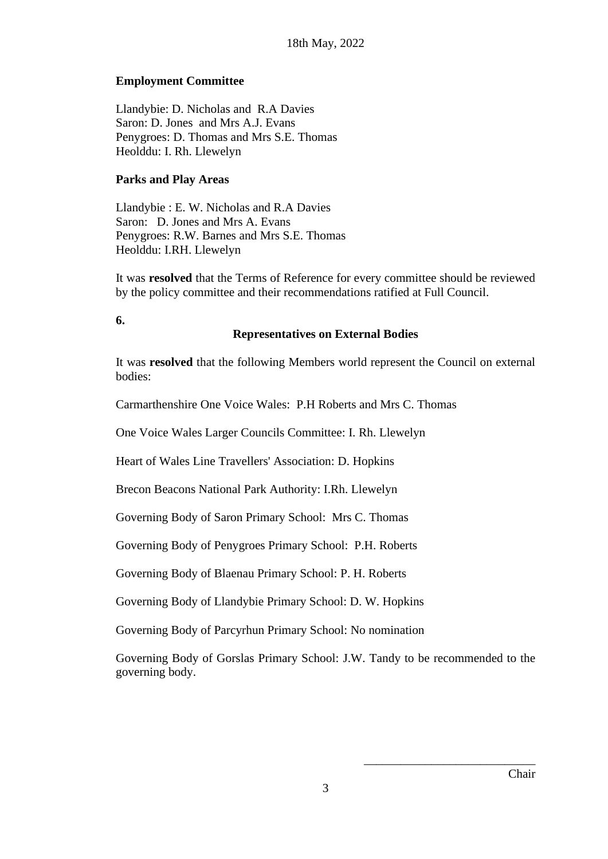## **Employment Committee**

Llandybie: D. Nicholas and R.A Davies Saron: D. Jones and Mrs A.J. Evans Penygroes: D. Thomas and Mrs S.E. Thomas Heolddu: I. Rh. Llewelyn

### **Parks and Play Areas**

Llandybie : E. W. Nicholas and R.A Davies Saron: D. Jones and Mrs A. Evans Penygroes: R.W. Barnes and Mrs S.E. Thomas Heolddu: I.RH. Llewelyn

It was **resolved** that the Terms of Reference for every committee should be reviewed by the policy committee and their recommendations ratified at Full Council.

**6.**

## **Representatives on External Bodies**

It was **resolved** that the following Members world represent the Council on external bodies:

Carmarthenshire One Voice Wales: P.H Roberts and Mrs C. Thomas

One Voice Wales Larger Councils Committee: I. Rh. Llewelyn

Heart of Wales Line Travellers' Association: D. Hopkins

Brecon Beacons National Park Authority: I.Rh. Llewelyn

Governing Body of Saron Primary School: Mrs C. Thomas

Governing Body of Penygroes Primary School: P.H. Roberts

Governing Body of Blaenau Primary School: P. H. Roberts

Governing Body of Llandybie Primary School: D. W. Hopkins

Governing Body of Parcyrhun Primary School: No nomination

Governing Body of Gorslas Primary School: J.W. Tandy to be recommended to the governing body.